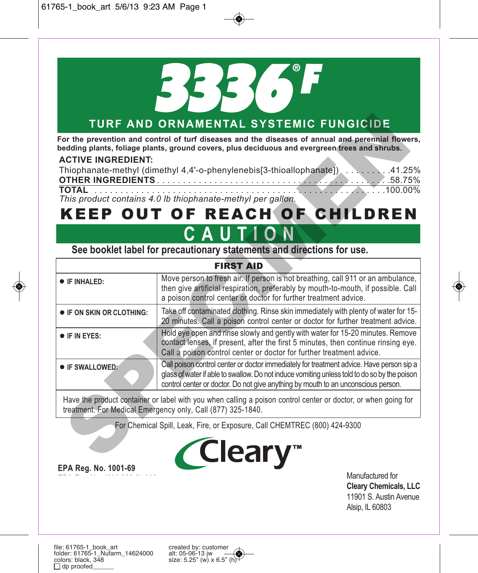

# **TURF AND ORNAMENTAL SYSTEMIC FUNGICIDE**

## **ACTIVE INGREDIENT:**

| Thiophanate-methyl (dimethyl 4,4'-o-phenylenebis[3-thioallophanate]) 41.25%                     |  |
|-------------------------------------------------------------------------------------------------|--|
|                                                                                                 |  |
| This can deal contributed $\Lambda$ . The filteration of the deal of a contribution of $\Gamma$ |  |

# KEEP OUT OF REACH OF CHILDREN

# **CAUTION**

|                                                                                                                                                                               | TURF AND ORNAMENTAL SYSTEMIC FUNGICIDE                                                                                                                                                                                                                                                                                                                                                                   |  |
|-------------------------------------------------------------------------------------------------------------------------------------------------------------------------------|----------------------------------------------------------------------------------------------------------------------------------------------------------------------------------------------------------------------------------------------------------------------------------------------------------------------------------------------------------------------------------------------------------|--|
| <b>ACTIVE INGREDIENT:</b>                                                                                                                                                     | For the prevention and control of turf diseases and the diseases of annual and perennial flowers,<br>bedding plants, foliage plants, ground covers, plus deciduous and evergreen trees and shrubs.<br>Thiophanate-methyl (dimethyl 4,4'-o-phenylenebis[3-thioallophanate]) 41.25%<br><b>TOTAL</b><br>This product contains 4.0 lb thiophanate-methyl per gallon.<br><b>KEEP OUT OF REACH OF CHILDREN</b> |  |
|                                                                                                                                                                               | CAUTION                                                                                                                                                                                                                                                                                                                                                                                                  |  |
|                                                                                                                                                                               | See booklet label for precautionary statements and directions for use.                                                                                                                                                                                                                                                                                                                                   |  |
|                                                                                                                                                                               | <b>FIRST AID</b>                                                                                                                                                                                                                                                                                                                                                                                         |  |
| <b>• IF INHALED:</b>                                                                                                                                                          | Move person to fresh air. If person is not breathing, call 911 or an ambulance,<br>then give artificial respiration, preferably by mouth-to-mouth, if possible. Call<br>a poison control center or doctor for further treatment advice.                                                                                                                                                                  |  |
| <b>• IF ON SKIN OR CLOTHING:</b>                                                                                                                                              | Take off contaminated clothing. Rinse skin immediately with plenty of water for 15-<br>20 minutes. Call a poison control center or doctor for further treatment advice.                                                                                                                                                                                                                                  |  |
| <b>• IF IN EYES:</b>                                                                                                                                                          | Hold eye open and rinse slowly and gently with water for 15-20 minutes. Remove<br>contact lenses, if present, after the first 5 minutes, then continue rinsing eye.<br>Call a poison control center or doctor for further treatment advice.                                                                                                                                                              |  |
| · IF SWALLOWED:                                                                                                                                                               | Call poison control center or doctor immediately for treatment advice. Have person sip a<br>glass of water if able to swallow. Do not induce vomiting unless told to do so by the poison<br>control center or doctor. Do not give anything by mouth to an unconscious person.                                                                                                                            |  |
| Have the product container or label with you when calling a poison control center or doctor, or when going for<br>treatment. For Medical Emergency only, Call (877) 325-1840. |                                                                                                                                                                                                                                                                                                                                                                                                          |  |
|                                                                                                                                                                               | For Chemical Spill, Leak, Fire, or Exposure, Call CHEMTREC (800) 424-9300<br>'Clearv                                                                                                                                                                                                                                                                                                                     |  |



**EPA Reg. No. 1001-69**

Manufactured for **Cleary Chemicals, LLC** 11901 S. Austin Avenue Alsip, IL 60803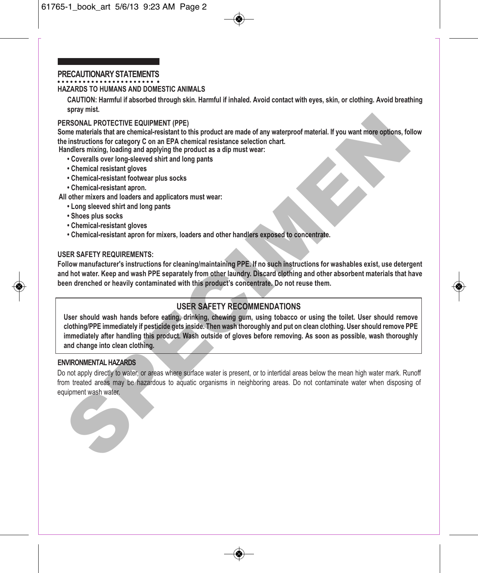#### **PRECAUTIONARY STATEMENTS**

#### **HAZARDS TO HUMANS AND DOMESTIC ANIMALS**

**CAUTION: Harmful if absorbed through skin. Harmful if inhaled. Avoid contact with eyes, skin, or clothing. Avoid breathing spray mist.**

#### **PERSONAL PROTECTIVE EQUIPMENT (PPE)**

**Some materials that are chemical-resistant to this product are made of any waterproof material. If you want more options, follow the instructions for category C on an EPA chemical resistance selection chart. Handlers mixing, loading and applying the product as a dip must wear:**

- 
- **Coveralls over long-sleeved shirt and long pants**
- **Chemical resistant gloves**
- **Chemical-resistant footwear plus socks**
- **Chemical-resistant apron.**

**All other mixers and loaders and applicators must wear:**

- **Long sleeved shirt and long pants**
- **Shoes plus socks**
- **Chemical-resistant gloves**
- **Chemical-resistant apron for mixers, loaders and other handlers exposed to concentrate.**

#### **USER SAFETY REQUIREMENTS:**

**Follow manufacturer's instructions for cleaning/maintaining PPE. If no such instructions for washables exist, use detergent and hot water. Keep and wash PPE separately from other laundry. Discard clothing and other absorbent materials that have been drenched or heavily contaminated with this product's concentrate. Do not reuse them.**

# **USER SAFETY RECOMMENDATIONS**

**User should wash hands before eating, drinking, chewing gum, using tobacco or using the toilet. User should remove clothing/PPE immediately if pesticide gets inside. Then wash thoroughly and put on clean clothing. User should remove PPE immediately after handling this product. Wash outside of gloves before removing. As soon as possible, wash thoroughly and change into clean clothing.** ERSONAL PROTECTIVE EQUIPMENT (PPE)<br>
momentarisches that are chemical-resistant to this product are made of any waterproof material. If you want more options, for<br>
in instructions for category C on an EPA chemical resistanc

#### **ENVIRONMENTAL HAZARDS**

Do not apply directly to water, or areas where surface water is present, or to intertidal areas below the mean high water mark. Runoff from treated areas may be hazardous to aquatic organisms in neighboring areas. Do not contaminate water when disposing of equipment wash water.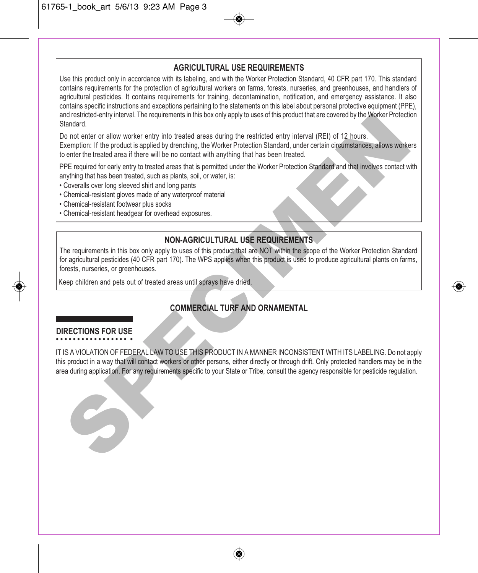## **AGRICULTURAL USE REQUIREMENTS**

Use this product only in accordance with its labeling, and with the Worker Protection Standard, 40 CFR part 170. This standard contains requirements for the protection of agricultural workers on farms, forests, nurseries, and greenhouses, and handlers of agricultural pesticides. It contains requirements for training, decontamination, notification, and emergency assistance. It also contains specific instructions and exceptions pertaining to the statements on this label about personal protective equipment (PPE), and restricted-entry interval. The requirements in this box only apply to uses of this product that are covered by the Worker Protection Standard.

Do not enter or allow worker entry into treated areas during the restricted entry interval (REI) of 12 hours. Exemption: If the product is applied by drenching, the Worker Protection Standard, under certain circumstances, allows workers to enter the treated area if there will be no contact with anything that has been treated.

PPE required for early entry to treated areas that is permitted under the Worker Protection Standard and that involves contact with anything that has been treated, such as plants, soil, or water, is:

- Coveralls over long sleeved shirt and long pants
- Chemical-resistant gloves made of any waterproof material
- Chemical-resistant footwear plus socks
- Chemical-resistant headgear for overhead exposures.

## **NON-AGRICULTURAL USE REQUIREMENTS**

The requirements in this box only apply to uses of this product that are NOT within the scope of the Worker Protection Standard for agricultural pesticides (40 CFR part 170). The WPS applies when this product is used to produce agricultural plants on farms, forests, nurseries, or greenhouses.

Keep children and pets out of treated areas until sprays have dried.

# **COMMERCIAL TURF AND ORNAMENTAL**

# **DIRECTIONS FOR USE**

IT IS A VIOLATION OF FEDERAL LAW TO USE THIS PRODUCT IN A MANNER INCONSISTENT WITH ITS LABELING. Do not apply this product in a way that will contact workers or other persons, either directly or through drift. Only protected handlers may be in the area during application. For any requirements specific to your State or Tribe, consult the agency responsible for pesticide regulation. nd resirded entry interval. The requirements in this box only apply to uses of this product that are covered by the Worker Protection<br>Standard.<br>Significant defines the product is applied by drenching, the Worker Protection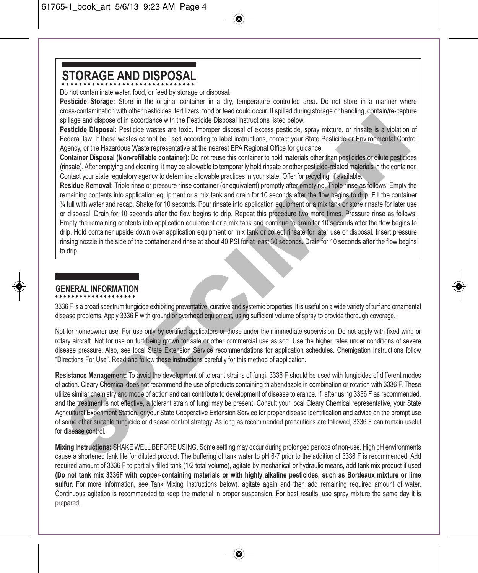# **STORAGE AND DISPOSAL**

Do not contaminate water, food, or feed by storage or disposal.

**Pesticide Storage:** Store in the original container in a dry, temperature controlled area. Do not store in a manner where cross-contamination with other pesticides, fertilizers, food or feed could occur. If spilled during storage or handling, contain/re-capture spillage and dispose of in accordance with the Pesticide Disposal instructions listed below.

**Pesticide Disposal:** Pesticide wastes are toxic. Improper disposal of excess pesticide, spray mixture, or rinsate is a violation of Federal law. If these wastes cannot be used according to label instructions, contact your State Pesticide or Environmental Control Agency, or the Hazardous Waste representative at the nearest EPA Regional Office for guidance.

**Container Disposal (Non-refillable container):** Do not reuse this container to hold materials other than pesticides or dilute pesticides (rinsate). After emptying and cleaning, it may be allowable to temporarily hold rinsate or other pesticide-related materials in the container. Contact your state regulatory agency to determine allowable practices in your state. Offer for recycling, if available.

**Residue Removal:** Triple rinse or pressure rinse container (or equivalent) promptly after emptying. Triple rinse as follows: Empty the remaining contents into application equipment or a mix tank and drain for 10 seconds after the flow begins to drip. Fill the container ¼ full with water and recap. Shake for 10 seconds. Pour rinsate into application equipment or a mix tank or store rinsate for later use or disposal. Drain for 10 seconds after the flow begins to drip. Repeat this procedure two more times. Pressure rinse as follows: Empty the remaining contents into application equipment or a mix tank and continue to drain for 10 seconds after the flow begins to drip. Hold container upside down over application equipment or mix tank or collect rinsate for later use or disposal. Insert pressure rinsing nozzle in the side of the container and rinse at about 40 PSI for at least 30 seconds. Drain for 10 seconds after the flow begins to drip. pillage and dispose of in accordance with the Pesticial Disposal istuarious listid below.<br>The pillage and dispose of in accordance with the Pesticial Disposal of excess pesticide, spray mixture, or rinsale is a violation<br>o

# **GENERAL INFORMATION**

3336 F is a broad spectrum fungicide exhibiting preventative, curative and systemic properties. It is useful on a wide variety of turf and ornamental disease problems. Apply 3336 F with ground or overhead equipment, using sufficient volume of spray to provide thorough coverage.

Not for homeowner use. For use only by certified applicators or those under their immediate supervision. Do not apply with fixed wing or rotary aircraft. Not for use on turf being grown for sale or other commercial use as sod. Use the higher rates under conditions of severe disease pressure. Also, see local State Extension Service recommendations for application schedules. Chemigation instructions follow "Directions For Use". Read and follow these instructions carefully for this method of application.

**Resistance Management:** To avoid the development of tolerant strains of fungi, 3336 F should be used with fungicides of different modes of action. Cleary Chemical does not recommend the use of products containing thiabendazole in combination or rotation with 3336 F. These utilize similar chemistry and mode of action and can contribute to development of disease tolerance. If, after using 3336 F as recommended, and the treatment is not effective, a tolerant strain of fungi may be present. Consult your local Cleary Chemical representative, your State Agricultural Experiment Station, or your State Cooperative Extension Service for proper disease identification and advice on the prompt use of some other suitable fungicide or disease control strategy. As long as recommended precautions are followed, 3336 F can remain useful for disease control.

**Mixing Instructions:** SHAKE WELL BEFORE USING. Some settling may occur during prolonged periods of non-use. High pH environments cause a shortened tank life for diluted product. The buffering of tank water to pH 6-7 prior to the addition of 3336 F is recommended. Add required amount of 3336 F to partially filled tank (1/2 total volume), agitate by mechanical or hydraulic means, add tank mix product if used **(Do not tank mix 3336F with copper-containing materials or with highly alkaline pesticides, such as Bordeaux mixture or lime sulfur.** For more information, see Tank Mixing Instructions below), agitate again and then add remaining required amount of water. Continuous agitation is recommended to keep the material in proper suspension. For best results, use spray mixture the same day it is prepared.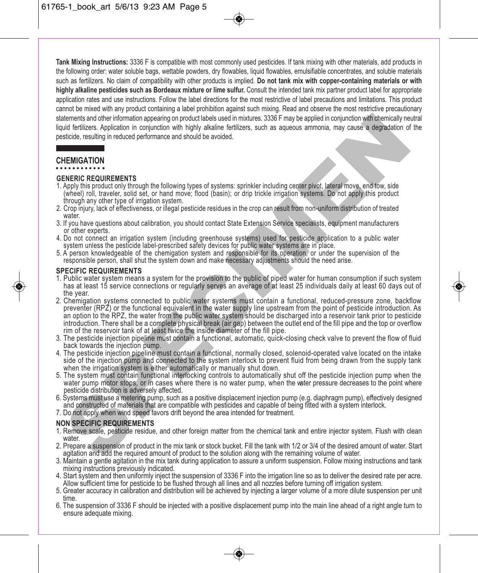**Tank Mixing Instructions:** 3336 F is compatible with most commonly used pesticides. If tank mixing with other materials, add products in the following order: water soluble bags, wettable powders, dry flowables, liquid flowables, emulsifiable concentrates, and soluble materials such as fertilizers. No claim of compatibility with other products is implied. **Do not tank mix with copper-containing materials or with highly alkaline pesticides such as Bordeaux mixture or lime sulfur.** Consult the intended tank mix partner product label for appropriate application rates and use instructions. Follow the label directions for the most restrictive of label precautions and limitations. This product cannot be mixed with any product containing a label prohibition against such mixing. Read and observe the most restrictive precautionary statements and other information appearing on product labels used in mixtures. 3336 F may be applied in conjunction with chemically neutral liquid fertilizers. Application in conjunction with highly alkaline fertilizers, such as aqueous ammonia, may cause a degradation of the pesticide, resulting in reduced performance and should be avoided.

# **CHEMIGATION**

#### **GENERIC REQUIREMENTS**

- 1. Apply this product only through the following types of systems: sprinkler including center pivot, lateral move, end tow, side (wheel) roll, traveler, solid set, or hand move; flood (basin); or drip trickle irrigation systems. Do not apply this product through any other type of irrigation system.
- 2. Crop injury, lack of effectiveness, or illegal pesticide residues in the crop can result from non-uniform distribution of treated water
- 3. If you have questions about calibration, you should contact State Extension Service specialists, equipment manufacturers or other experts.
- 4. Do not connect an irrigation system (including greenhouse systems) used for pesticide application to a public water system unless the pesticide label-prescribed safety devices for public water systems are in place.
- 5. A person knowledgeable of the chemigation system and responsible for its operation, or under the supervision of the responsible person, shall shut the system down and make necessary adjustments should the need arise.

#### **SPECIFIC REQUIREMENTS**

- 1. Public water system means a system for the provision to the public of piped water for human consumption if such system has at least 15 service connections or regularly serves an average of at least 25 individuals daily at least 60 days out of the year.
- 2. Chemigation systems connected to public water systems must contain a functional, reduced-pressure zone, backflow preventer (RPZ) or the functional equivalent in the water supply line upstream from the point of pesticide introduction. As an option to the RPZ, the water from the public water system should be discharged into a reservoir tank prior to pesticide introduction. There shall be a complete physical break (air gap) between the outlet end of the fill pipe and the top or overflow rim of the reservoir tank of at least twice the inside diameter of the fill pipe. alements and other information appearing on product Bale sized in mixtures. 3336 F may be applied in conjunction with the term in the matter of the state of the state of the state of the state of the state of the state of
- 3. The pesticide injection pipeline must contain a functional, automatic, quick-closing check valve to prevent the flow of fluid back towards the injection pump.
- 4. The pesticide injection pipeline must contain a functional, normally closed, solenoid-operated valve located on the intake side of the injection pump and connected to the system interlock to prevent fluid from being drawn from the supply tank when the irrigation system is either automatically or manually shut down.
- 5. The system must contain functional interlocking controls to automatically shut off the pesticide injection pump when the water pump motor stops, or in cases where there is no water pump, when the water pressure decreases to the point where pesticide distribution is adversely affected.
- 6. Systems must use a metering pump, such as a positive displacement injection pump (e.g. diaphragm pump), effectively designed and constructed of materials that are compatible with pesticides and capable of being fitted with a system interlock.
- 7. Do not apply when wind speed favors drift beyond the area intended for treatment.

#### **NON SPECIFIC REQUIREMENTS**

- 1. Remove scale, pesticide residue, and other foreign matter from the chemical tank and entire injector system. Flush with clean water.
- 2. Prepare a suspension of product in the mix tank or stock bucket. Fill the tank with 1/2 or 3/4 of the desired amount of water. Start agitation and add the required amount of product to the solution along with the remaining volume of water.
- 3. Maintain a gentle agitation in the mix tank during application to assure a uniform suspension. Follow mixing instructions and tank mixing instructions previously indicated.
- 4. Start system and then uniformly inject the suspension of 3336 F into the irrigation line so as to deliver the desired rate per acre. Allow sufficient time for pesticide to be flushed through all lines and all nozzles before turning off irrigation system.
- 5. Greater accuracy in calibration and distribution will be achieved by injecting a larger volume of a more dilute suspension per unit time.
- 6. The suspension of 3336 F should be injected with a positive displacement pump into the main line ahead of a right angle turn to ensure adequate mixing.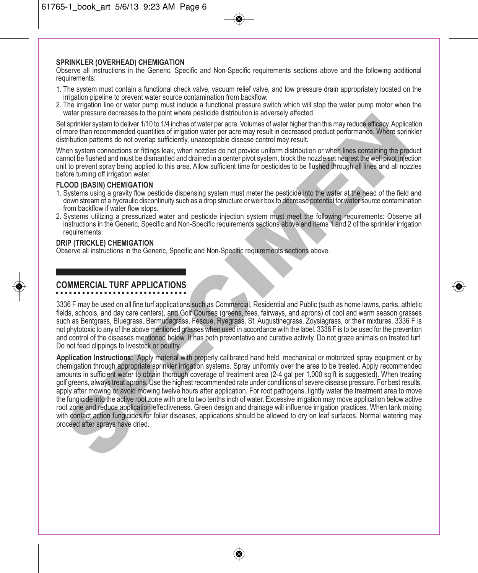#### **SPRINKLER (OVERHEAD) CHEMIGATION**

Observe all instructions in the Generic, Specific and Non-Specific requirements sections above and the following additional requirements:

- 1. The system must contain a functional check valve, vacuum relief valve, and low pressure drain appropriately located on the irrigation pipeline to prevent water source contamination from backflow.
- 2. The irrigation line or water pump must include a functional pressure switch which will stop the water pump motor when the water pressure decreases to the point where pesticide distribution is adversely affected.

Set sprinkler system to deliver 1/10 to 1/4 inches of water per acre. Volumes of water higher than this may reduce efficacy. Application of more than recommended quantities of irrigation water per acre may result in decreased product performance. Where sprinkler distribution patterns do not overlap sufficiently, unacceptable disease control may result.

When system connections or fittings leak, when nozzles do not provide uniform distribution or when lines containing the product cannot be flushed and must be dismantled and drained in a center pivot system, block the nozzle set nearest the well pivot injection unit to prevent spray being applied to this area. Allow sufficient time for pesticides to be flushed through all lines and all nozzles before turning off irrigation water.

#### **FLOOD (BASIN) CHEMIGATION**

- 1. Systems using a gravity flow pesticide dispensing system must meter the pesticide into the water at the head of the field and down stream of a hydraulic discontinuity such as a drop structure or weir box to decrease potential for water source contamination from backflow if water flow stops.
- 2. Systems utilizing a pressurized water and pesticide injection system must meet the following requirements: Observe all instructions in the Generic, Specific and Non-Specific requirements sections above and items 1 and 2 of the sprinkler irrigation<br>requirements.

#### **DRIP (TRICKLE) CHEMIGATION**

Observe all instructions in the Generic, Specific and Non-Specific requirements sections above.

# **COMMERCIAL TURF APPLICATIONS**

3336 F may be used on all fine turf applications such as Commercial, Residential and Public (such as home lawns, parks, athletic fields, schools, and day care centers), and Golf Courses (greens, tees, fairways, and aprons) of cool and warm season grasses such as Bentgrass, Bluegrass, Bermudagrass, Fescue, Ryegrass, St. Augustinegrass, Zoysiagrass, or their mixtures. 3336 F is not phytotoxic to any of the above mentioned grasses when used in accordance with the label. 3336 F is to be used for the prevention and control of the diseases mentioned below. It has both preventative and curative activity. Do not graze animals on treated turf. Do not feed clippings to livestock or poultry.

**Application Instructions:** Apply material with properly calibrated hand held, mechanical or motorized spray equipment or by chemigation through appropriate sprinkler irrigation systems. Spray uniformly over the area to be treated. Apply recommended amounts in sufficient water to obtain thorough coverage of treatment area (2-4 gal per 1,000 sq ft is suggested). When treating golf greens, always treat aprons. Use the highest recommended rate under conditions of severe disease pressure. For best results, apply after mowing or avoid mowing twelve hours after application. For root pathogens, lightly water the treatment area to move the fungicide into the active root zone with one to two tenths inch of water. Excessive irrigation may move application below active root zone and reduce application effectiveness. Green design and drainage will influence irrigation practices. When tank mixing with contact action fungicides for foliar diseases, applications should be allowed to dry on leaf surfaces. Normal watering may proceed after sprays have dried. ware jessens used associates of the point wire peasure assume that ware the first may reduce interact the most methanon state in the most methanon state in the most methanon state in the state interact in the state interac

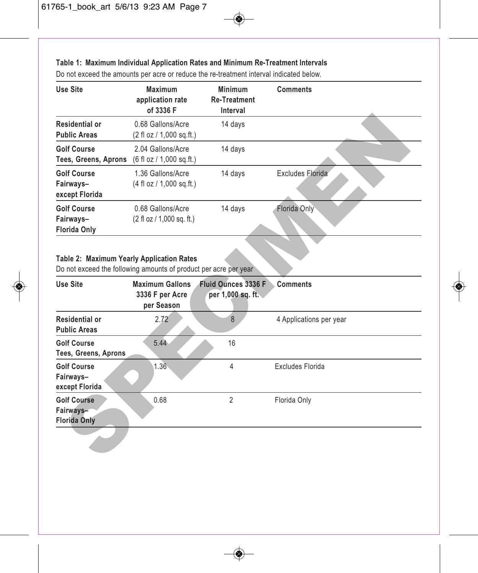### **Table 1: Maximum Individual Application Rates and Minimum Re-Treatment Intervals**

| <b>Use Site</b>                                        | <b>Maximum</b><br>application rate<br>of 3336 F                  | <b>Minimum</b><br><b>Re-Treatment</b><br>Interval | <b>Comments</b>  |
|--------------------------------------------------------|------------------------------------------------------------------|---------------------------------------------------|------------------|
| Residential or<br><b>Public Areas</b>                  | 0.68 Gallons/Acre<br>$(2 \text{ fl oz} / 1,000 \text{ sq.fit.})$ | 14 days                                           |                  |
| <b>Golf Course</b><br>Tees, Greens, Aprons             | 2.04 Gallons/Acre<br>$(6 \text{ fl oz} / 1,000 \text{ sq.fit.})$ | 14 days                                           |                  |
| <b>Golf Course</b><br>Fairways-<br>except Florida      | 1.36 Gallons/Acre<br>(4 fl oz / 1,000 sq.ft.)                    | 14 days                                           | Excludes Florida |
| <b>Golf Course</b><br>Fairways-<br><b>Florida Only</b> | 0.68 Gallons/Acre<br>(2 fl oz / 1,000 sq. ft.)                   | 14 days                                           | Florida Only     |

Do not exceed the amounts per acre or reduce the re-treatment interval indicated below.

## **Table 2: Maximum Yearly Application Rates**

| <b>Residential or</b><br><b>Public Areas</b>                                                                  | 0.68 Gallons/Acre<br>(2 fl oz / 1,000 sq.ft.)           | 14 days                                  |                         |  |
|---------------------------------------------------------------------------------------------------------------|---------------------------------------------------------|------------------------------------------|-------------------------|--|
| <b>Golf Course</b><br>Tees, Greens, Aprons                                                                    | 2.04 Gallons/Acre<br>(6 fl oz / 1,000 sq.ft.)           | 14 days                                  |                         |  |
| <b>Golf Course</b><br>Fairways-<br>except Florida                                                             | 1.36 Gallons/Acre<br>(4 fl oz / 1,000 sq.ft.)           | 14 days                                  | Excludes Elorida        |  |
| <b>Golf Course</b><br>Fairways-<br>Florida Only                                                               | 0.68 Gallons/Acre<br>(2 fl oz / 1,000 sq. ft.)          | 14 days                                  | Florida Only            |  |
| Table 2: Maximum Yearly Application Rates<br>Do not exceed the following amounts of product per acre per year |                                                         |                                          |                         |  |
| <b>Use Site</b>                                                                                               | <b>Maximum Gallons</b><br>3336 F per Acre<br>per Season | Fluid Ounces 3336 F<br>per 1,000 sq. ft. | <b>Comments</b>         |  |
| <b>Residential or</b><br><b>Public Areas</b>                                                                  | 2.72                                                    | 8                                        | 4 Applications per year |  |
| <b>Golf Course</b><br>Tees, Greens, Aprons                                                                    | 5.44                                                    | 16                                       |                         |  |
| <b>Golf Course</b><br>Fairways-<br>except Florida                                                             | 1.36                                                    | 4                                        | <b>Excludes Florida</b> |  |
| <b>Golf Course</b><br>Fairways-<br><b>Florida Only</b>                                                        | 0.68                                                    | $\overline{2}$                           | Florida Only            |  |
|                                                                                                               |                                                         |                                          |                         |  |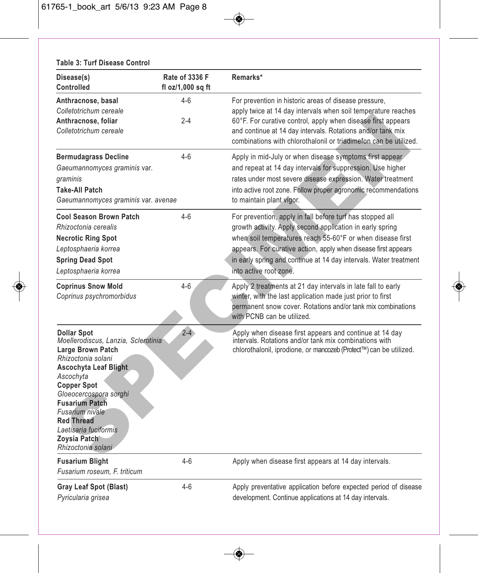| Disease(s)<br>Controlled                                                                                                                                                                                                                                                                                                                 | Rate of 3336 F<br>fl $oz/1,000$ sq ft | Remarks*                                                                                                                                                                                                                                                                                                                                              |
|------------------------------------------------------------------------------------------------------------------------------------------------------------------------------------------------------------------------------------------------------------------------------------------------------------------------------------------|---------------------------------------|-------------------------------------------------------------------------------------------------------------------------------------------------------------------------------------------------------------------------------------------------------------------------------------------------------------------------------------------------------|
| Anthracnose, basal<br>Colletotrichum cereale<br>Anthracnose, foliar<br>Colletotrichum cereale                                                                                                                                                                                                                                            | $4-6$<br>$2 - 4$                      | For prevention in historic areas of disease pressure,<br>apply twice at 14 day intervals when soil temperature reaches<br>60°F. For curative control, apply when disease first appears<br>and continue at 14 day intervals. Rotations and/or tank mix<br>combinations with chlorothalonil or triadimefon can be utilized.                             |
| <b>Bermudagrass Decline</b><br>Gaeumannomyces graminis var.<br>graminis<br><b>Take-All Patch</b><br>Gaeumannomyces graminis var. avenae                                                                                                                                                                                                  | $4 - 6$                               | Apply in mid-July or when disease symptoms first appear<br>and repeat at 14 day intervals for suppression. Use higher<br>rates under most severe disease expression. Water treatment<br>into active root zone. Follow proper agronomic recommendations<br>to maintain plant vigor.                                                                    |
| <b>Cool Season Brown Patch</b><br>Rhizoctonia cerealis<br><b>Necrotic Ring Spot</b><br>Leptosphaeria korrea<br><b>Spring Dead Spot</b><br>Leptosphaeria korrea                                                                                                                                                                           | $4 - 6$                               | For prevention, apply in fall before turf has stopped all<br>growth activity. Apply second application in early spring<br>when soil temperatures reach 55-60°F or when disease first<br>appears. For curative action, apply when disease first appears<br>in early spring and continue at 14 day intervals. Water treatment<br>into active root zone. |
| <b>Coprinus Snow Mold</b><br>Coprinus psychromorbidus                                                                                                                                                                                                                                                                                    | $4 - 6$                               | Apply 2 treatments at 21 day intervals in late fall to early<br>winter, with the last application made just prior to first<br>permanent snow cover. Rotations and/or tank mix combinations<br>with PCNB can be utilized.                                                                                                                              |
| <b>Dollar Spot</b><br>Moellerodiscus, Lanzia, Sclerotinia<br><b>Large Brown Patch</b><br>Rhizoctonia solani<br><b>Ascochyta Leaf Blight</b><br>Ascochyta<br><b>Copper Spot</b><br>Gloeocercospora sorghi<br><b>Fusarium Patch</b><br>Fusarium nivale<br><b>Red Thread</b><br>Laetisaria fuciformis<br>Zoysia Patch<br>Rhizoctonia solani | $2 - 4$                               | Apply when disease first appears and continue at 14 day<br>intervals. Rotations and/or tank mix combinations with<br>chlorothalonil, iprodione, or mancozeb (Protect™) can be utilized.                                                                                                                                                               |
| <b>Fusarium Blight</b><br>Fusarium roseum, F. triticum                                                                                                                                                                                                                                                                                   | $4 - 6$                               | Apply when disease first appears at 14 day intervals.                                                                                                                                                                                                                                                                                                 |
| <b>Gray Leaf Spot (Blast)</b><br>Pyricularia grisea                                                                                                                                                                                                                                                                                      | $4-6$                                 | Apply preventative application before expected period of disease<br>development. Continue applications at 14 day intervals.                                                                                                                                                                                                                           |

## **Table 3: Turf Disease Control**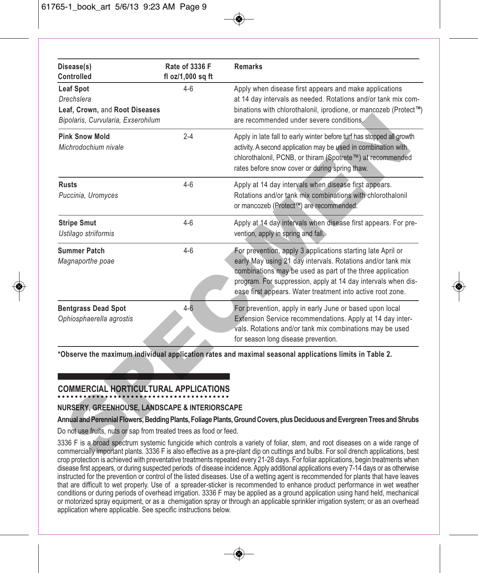| Disease(s)<br>Controlled                                                                               | Rate of 3336 F<br>fl oz/1,000 sq ft | <b>Remarks</b>                                                                                                                                                                                                                                                                                                                                                                                             |
|--------------------------------------------------------------------------------------------------------|-------------------------------------|------------------------------------------------------------------------------------------------------------------------------------------------------------------------------------------------------------------------------------------------------------------------------------------------------------------------------------------------------------------------------------------------------------|
| <b>Leaf Spot</b><br>Drechslera<br>Leaf, Crown, and Root Diseases<br>Bipolaris, Curvularia, Exserohilum | $4-6$                               | Apply when disease first appears and make applications<br>at 14 day intervals as needed. Rotations and/or tank mix com-<br>binations with chlorothalonil, iprodione, or mancozeb (Protect™)<br>are recommended under severe conditions.                                                                                                                                                                    |
| <b>Pink Snow Mold</b><br>Michrodochium nivale                                                          | $2 - 4$                             | Apply in late fall to early winter before turf has stopped all growth<br>activity. A second application may be used in combination with<br>chlorothalonil, PCNB, or thiram (Spotrete™) at recommended<br>rates before snow cover or during spring thaw.                                                                                                                                                    |
| Rusts<br>Puccinia, Uromyces                                                                            | 4-6                                 | Apply at 14 day intervals when disease first appears.<br>Rotations and/or tank mix combinations with chlorothalonil<br>or mancozeb (Protect™) are recommended.                                                                                                                                                                                                                                             |
| <b>Stripe Smut</b><br>Ustilago striiformis                                                             | $4-6$                               | Apply at 14 day intervals when disease first appears. For pre-<br>vention, apply in spring and fall.                                                                                                                                                                                                                                                                                                       |
| <b>Summer Patch</b><br>Magnaporthe poae                                                                | $4 - 6$                             | For prevention, apply 3 applications starting late April or<br>early May using 21 day intervals. Rotations and/or tank mix<br>combinations may be used as part of the three application<br>program. For suppression, apply at 14 day intervals when dis-<br>ease first appears. Water treatment into active root zone.                                                                                     |
| <b>Bentgrass Dead Spot</b><br>Ophiosphaerella agrostis                                                 | $4 - 6$                             | For prevention, apply in early June or based upon local<br>Extension Service recommendations. Apply at 14 day inter-<br>vals. Rotations and/or tank mix combinations may be used<br>for season long disease prevention.                                                                                                                                                                                    |
| <b>COMMERCIAL HORTICULTURAL APPLICATIONS</b>                                                           |                                     | *Observe the maximum individual application rates and maximal seasonal applications limits in Table 2.                                                                                                                                                                                                                                                                                                     |
| NURSERY, GREENHOUSE, LANDSCAPE & INTERIORSCAPE                                                         |                                     |                                                                                                                                                                                                                                                                                                                                                                                                            |
| Do not use fruits, nuts or sap from treated trees as food or feed.                                     |                                     | Annual and Perennial Flowers, Bedding Plants, Foliage Plants, Ground Covers, plus Deciduous and Evergreen Trees and Shrubs                                                                                                                                                                                                                                                                                 |
|                                                                                                        |                                     | 3336 F is a broad spectrum systemic fungicide which controls a variety of foliar, stem, and root diseases on a wide range of<br>commercially important plants. 3336 F is also effective as a pre-plant dip on cuttings and bulbs. For soil drench applications, best<br>cron protection is achieved with preventative treatments repeated eveny 21-28 days. For foliar applications, begin treatments when |

# **COMMERCIAL HORTICULTURAL APPLICATIONS**

## **NURSERY, GREENHOUSE, LANDSCAPE & INTERIORSCAPE**

#### **Annual and Perennial Flowers, Bedding Plants, Foliage Plants, Ground Covers, plus Deciduous and Evergreen Trees and Shrubs**

3336 F is a broad spectrum systemic fungicide which controls a variety of foliar, stem, and root diseases on a wide range of commercially important plants. 3336 F is also effective as a pre-plant dip on cuttings and bulbs. For soil drench applications, best crop protection is achieved with preventative treatments repeated every 21-28 days. For foliar applications, begin treatments when disease first appears, or during suspected periods of disease incidence. Apply additional applications every 7-14 days or as otherwise instructed for the prevention or control of the listed diseases. Use of a wetting agent is recommended for plants that have leaves that are difficult to wet properly. Use of a spreader-sticker is recommended to enhance product performance in wet weather conditions or during periods of overhead irrigation. 3336 F may be applied as a ground application using hand held, mechanical or motorized spray equipment, or as a chemigation spray or through an applicable sprinkler irrigation system; or as an overhead application where applicable. See specific instructions below.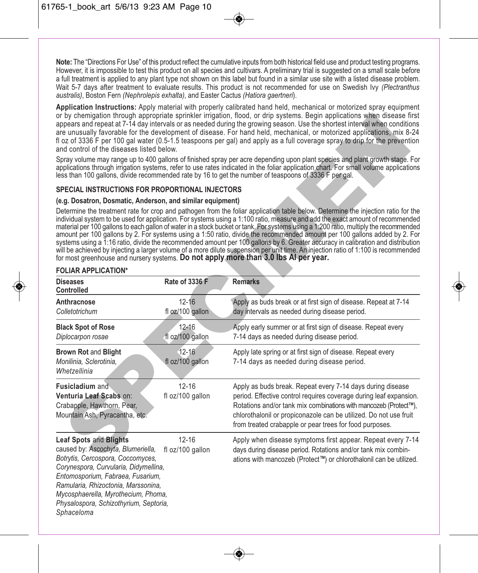**Note:** The "Directions For Use" of this product reflect the cumulative inputs from both historical field use and product testing programs. However, it is impossible to test this product on all species and cultivars. A preliminary trial is suggested on a small scale before a full treatment is applied to any plant type not shown on this label but found in a similar use site with a listed disease problem. Wait 5-7 days after treatment to evaluate results. This product is not recommended for use on Swedish Ivy *(Plectranthus australis)*, Boston Fern *(Nephrolepis exhalta)*, and Easter Cactus *(Hatiora gaertneri*).

**Application Instructions:** Apply material with properly calibrated hand held, mechanical or motorized spray equipment or by chemigation through appropriate sprinkler irrigation, flood, or drip systems. Begin applications when disease first appears and repeat at 7-14 day intervals or as needed during the growing season. Use the shortest interval when conditions are unusually favorable for the development of disease. For hand held, mechanical, or motorized applications, mix 8-24 fl oz of 3336 F per 100 gal water (0.5-1.5 teaspoons per gal) and apply as a full coverage spray to drip for the prevention and control of the diseases listed below.

#### **SPECIAL INSTRUCTIONS FOR PROPORTIONAL INJECTORS**

#### **(e.g. Dosatron, Dosmatic, Anderson, and similar equipment)**

| and control of the diseases listed below.                                                                                                                                                                                                                                                                                    |                               | or by chemigation through appropriate sprinkler irrigation, flood, or drip systems. Begin applications when disease first<br>appears and repeat at 7-14 day intervals or as needed during the growing season. Use the shortest interval when conditions<br>are unusually favorable for the development of disease. For hand held, mechanical, or motorized applications, mix 8-24<br>fl oz of 3336 F per 100 gal water (0.5-1.5 teaspoons per gal) and apply as a full coverage spray to drip for the prevention<br>Spray volume may range up to 400 gallons of finished spray per acre depending upon plant species and plant growth stage. For<br>applications through irrigation systems, refer to use rates indicated in the foliar application chart. For small volume applications<br>less than 100 gallons, divide recommended rate by 16 to get the number of teaspoons of 3336 F per gal. |
|------------------------------------------------------------------------------------------------------------------------------------------------------------------------------------------------------------------------------------------------------------------------------------------------------------------------------|-------------------------------|----------------------------------------------------------------------------------------------------------------------------------------------------------------------------------------------------------------------------------------------------------------------------------------------------------------------------------------------------------------------------------------------------------------------------------------------------------------------------------------------------------------------------------------------------------------------------------------------------------------------------------------------------------------------------------------------------------------------------------------------------------------------------------------------------------------------------------------------------------------------------------------------------|
| SPECIAL INSTRUCTIONS FOR PROPORTIONAL INJECTORS                                                                                                                                                                                                                                                                              |                               |                                                                                                                                                                                                                                                                                                                                                                                                                                                                                                                                                                                                                                                                                                                                                                                                                                                                                                    |
| (e.g. Dosatron, Dosmatic, Anderson, and similar equipment)<br>for most greenhouse and nursery systems. Do not apply more than 3.0 lbs AI per year.                                                                                                                                                                           |                               | Determine the treatment rate for crop and pathogen from the foliar application table below. Determine the injection ratio for the<br>individual system to be used for application. For systems using a 1:100 ratio, measure and add the exact amount of recommended<br>material per 100 gallons to each gallon of water in a stock bucket or tank. For systems using a 1:200 ratio, multiply the recommended<br>amount per 100 gallons by 2. For systems using a 1:50 ratio, divide the recommended amount per 100 gallons added by 2. For<br>systems using a 1:16 ratio, divide the recommended amount per 100 gallons by 6. Greater accuracy in calibration and distribution<br>will be achieved by injecting a larger volume of a more dilute suspension per unit time. An injection ratio of 1:100 is recommended                                                                              |
| <b>FOLIAR APPLICATION*</b>                                                                                                                                                                                                                                                                                                   |                               |                                                                                                                                                                                                                                                                                                                                                                                                                                                                                                                                                                                                                                                                                                                                                                                                                                                                                                    |
| Diseases<br>Controlled                                                                                                                                                                                                                                                                                                       | Rate of 3336 F                | <b>Remarks</b>                                                                                                                                                                                                                                                                                                                                                                                                                                                                                                                                                                                                                                                                                                                                                                                                                                                                                     |
| Anthracnose<br>Colletotrichum                                                                                                                                                                                                                                                                                                | $12 - 16$<br>fl oz/100 gallon | Apply as buds break or at first sign of disease. Repeat at 7-14<br>day intervals as needed during disease period.                                                                                                                                                                                                                                                                                                                                                                                                                                                                                                                                                                                                                                                                                                                                                                                  |
| <b>Black Spot of Rose</b><br>Diplocarpon rosae                                                                                                                                                                                                                                                                               | $12 - 16$<br>fl oz/100 gallon | Apply early summer or at first sign of disease. Repeat every<br>7-14 days as needed during disease period.                                                                                                                                                                                                                                                                                                                                                                                                                                                                                                                                                                                                                                                                                                                                                                                         |
| <b>Brown Rot and Blight</b><br>Monilinia, Sclerotinia,<br>Whetzellinia                                                                                                                                                                                                                                                       | $12 - 16$<br>fl oz/100 gallon | Apply late spring or at first sign of disease. Repeat every<br>7-14 days as needed during disease period.                                                                                                                                                                                                                                                                                                                                                                                                                                                                                                                                                                                                                                                                                                                                                                                          |
| Fusicladium and<br>Venturia Leaf Scabs on:<br>Crabapple, Hawthorn, Pear,<br>Mountain Ash, Pyracantha, etc.                                                                                                                                                                                                                   | $12 - 16$<br>fl oz/100 gallon | Apply as buds break. Repeat every 7-14 days during disease<br>period. Effective control requires coverage during leaf expansion.<br>Rotations and/or tank mix combinations with mancozeb (Protect™),<br>chlorothalonil or propiconazole can be utilized. Do not use fruit<br>from treated crabapple or pear trees for food purposes.                                                                                                                                                                                                                                                                                                                                                                                                                                                                                                                                                               |
| <b>Leaf Spots and Blights</b><br>caused by: Ascochyta, Blumeriella,<br>Botrytis, Cercospora, Coccomyces,<br>Corynespora, Curvularia, Didymellina,<br>Entomosporium, Fabraea, Fusarium,<br>Ramularia, Rhizoctonia, Marssonina,<br>Mycosphaerella, Myrothecium, Phoma,<br>Physalospora, Schizothyrium, Septoria,<br>Sphaceloma | $12 - 16$<br>fl oz/100 gallon | Apply when disease symptoms first appear. Repeat every 7-14<br>days during disease period. Rotations and/or tank mix combin-<br>ations with mancozeb (Protect™) or chlorothalonil can be utilized.                                                                                                                                                                                                                                                                                                                                                                                                                                                                                                                                                                                                                                                                                                 |

#### **FOLIAR APPLICATION\***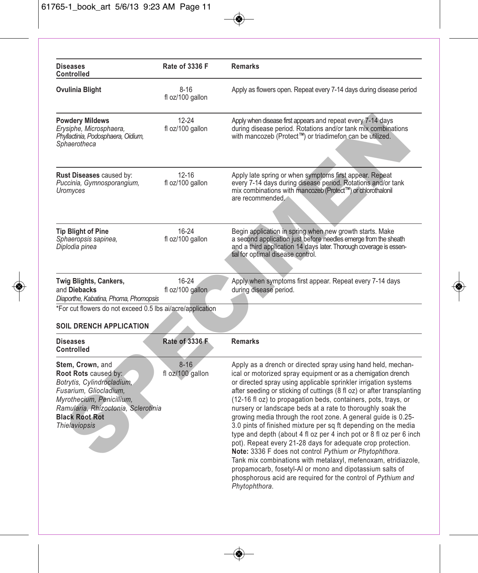| <b>Diseases</b><br><b>Controlled</b>                                                                                                                                                                                  | Rate of 3336 F                | <b>Remarks</b>                                                                                                                                                                                                                                                                                                                                                                                                                                                                                                                                                                                                                                                                                                                                                                                                                                                                                                                                            |
|-----------------------------------------------------------------------------------------------------------------------------------------------------------------------------------------------------------------------|-------------------------------|-----------------------------------------------------------------------------------------------------------------------------------------------------------------------------------------------------------------------------------------------------------------------------------------------------------------------------------------------------------------------------------------------------------------------------------------------------------------------------------------------------------------------------------------------------------------------------------------------------------------------------------------------------------------------------------------------------------------------------------------------------------------------------------------------------------------------------------------------------------------------------------------------------------------------------------------------------------|
| Ovulinia Blight                                                                                                                                                                                                       | $8 - 16$<br>fl oz/100 gallon  | Apply as flowers open. Repeat every 7-14 days during disease period                                                                                                                                                                                                                                                                                                                                                                                                                                                                                                                                                                                                                                                                                                                                                                                                                                                                                       |
| <b>Powdery Mildews</b><br>Erysiphe, Microsphaera,<br>Phyllactinia, Podosphaera, Oidium,<br>Sphaerotheca                                                                                                               | $12 - 24$<br>fl oz/100 gallon | Apply when disease first appears and repeat every 7-14 days<br>during disease period. Rotations and/or tank mix combinations<br>with mancozeb (Protect™) or triadimefon can be utilized.                                                                                                                                                                                                                                                                                                                                                                                                                                                                                                                                                                                                                                                                                                                                                                  |
| <b>Rust Diseases caused by:</b><br>Puccinia, Gymnosporangium,<br>Uromyces                                                                                                                                             | $12 - 16$<br>fl oz/100 gallon | Apply late spring or when symptoms first appear. Repeat<br>every 7-14 days during disease period. Rotations and/or tank<br>mix combinations with mancozeb (Protect™) or chlorothalonil<br>are recommended.                                                                                                                                                                                                                                                                                                                                                                                                                                                                                                                                                                                                                                                                                                                                                |
| <b>Tip Blight of Pine</b><br>Sphaeropsis sapinea,<br>Diplodia pinea                                                                                                                                                   | $16 - 24$<br>fl oz/100 gallon | Begin application in spring when new growth starts. Make<br>a second application just before needles emerge from the sheath<br>and a third application 14 days later. Thorough coverage is essen-<br>tial for optimal disease control.                                                                                                                                                                                                                                                                                                                                                                                                                                                                                                                                                                                                                                                                                                                    |
| Twig Blights, Cankers,<br>and Diebacks<br>Diaporthe, Kabatina, Phoma, Phomopsis                                                                                                                                       | $16 - 24$<br>fl oz/100 gallon | Apply when symptoms first appear. Repeat every 7-14 days<br>during disease period.                                                                                                                                                                                                                                                                                                                                                                                                                                                                                                                                                                                                                                                                                                                                                                                                                                                                        |
| *For cut flowers do not exceed 0.5 lbs ai/acre/application                                                                                                                                                            |                               |                                                                                                                                                                                                                                                                                                                                                                                                                                                                                                                                                                                                                                                                                                                                                                                                                                                                                                                                                           |
| <b>SOIL DRENCH APPLICATION</b>                                                                                                                                                                                        |                               |                                                                                                                                                                                                                                                                                                                                                                                                                                                                                                                                                                                                                                                                                                                                                                                                                                                                                                                                                           |
| <b>Diseases</b><br><b>Controlled</b>                                                                                                                                                                                  | <b>Rate of 3336 F</b>         | <b>Remarks</b>                                                                                                                                                                                                                                                                                                                                                                                                                                                                                                                                                                                                                                                                                                                                                                                                                                                                                                                                            |
| Stem, Crown, and<br>Root Rots caused by:<br>Botrytis, Cylindrocladium,<br>Fusarium, Gliocladium,<br>Myrothecium, Penicillium,<br>Ramularia, Rhizoctonia, Sclerotinia<br><b>Black Root Rot</b><br><b>Thielaviopsis</b> | $8 - 16$<br>fl oz/100 gallon  | Apply as a drench or directed spray using hand held, mechan-<br>ical or motorized spray equipment or as a chemigation drench<br>or directed spray using applicable sprinkler irrigation systems<br>after seeding or sticking of cuttings (8 fl oz) or after transplanting<br>(12-16 fl oz) to propagation beds, containers, pots, trays, or<br>nursery or landscape beds at a rate to thoroughly soak the<br>growing media through the root zone. A general guide is 0.25-<br>3.0 pints of finished mixture per sq ft depending on the media<br>type and depth (about 4 fl oz per 4 inch pot or 8 fl oz per 6 inch<br>pot). Repeat every 21-28 days for adequate crop protection.<br>Note: 3336 F does not control Pythium or Phytophthora.<br>Tank mix combinations with metalaxyl, mefenoxam, etridiazole,<br>propamocarb, fosetyl-AI or mono and dipotassium salts of<br>phosphorous acid are required for the control of Pythium and<br>Phytophthora. |